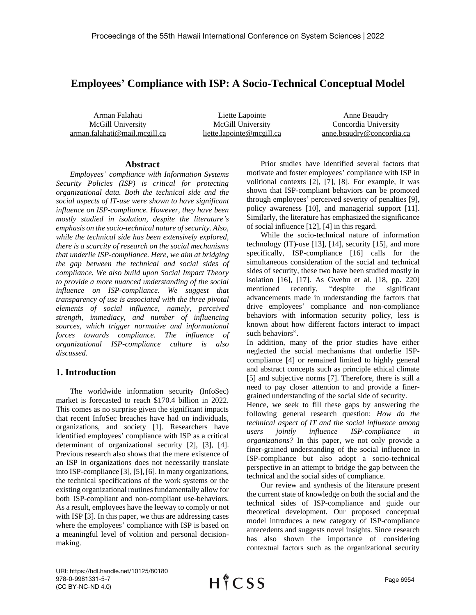# **Employees' Compliance with ISP: A Socio-Technical Conceptual Model**

Arman Falahati McGill University arman.falahati@mail.mcgill.ca

Liette Lapointe McGill University [liette.lapointe@mcgill.ca](mailto:liette.lapointe@mcgill.ca)

Anne Beaudry Concordia University anne.beaudry@concordia.ca

#### **Abstract**

*Employees' compliance with Information Systems Security Policies (ISP) is critical for protecting organizational data. Both the technical side and the social aspects of IT-use were shown to have significant influence on ISP-compliance. However, they have been mostly studied in isolation, despite the literature's emphasis on the socio-technical nature of security. Also, while the technical side has been extensively explored, there is a scarcity of research on the social mechanisms that underlie ISP-compliance. Here, we aim at bridging the gap between the technical and social sides of compliance. We also build upon Social Impact Theory to provide a more nuanced understanding of the social influence on ISP-compliance. We suggest that transparency of use is associated with the three pivotal elements of social influence, namely, perceived strength, immediacy, and number of influencing sources, which trigger normative and informational forces towards compliance. The influence of organizational ISP-compliance culture is also discussed.*

### **1. Introduction**

The worldwide information security (InfoSec) market is forecasted to reach \$170.4 billion in 2022. This comes as no surprise given the significant impacts that recent InfoSec breaches have had on individuals, organizations, and society [1]. Researchers have identified employees' compliance with ISP as a critical determinant of organizational security [2], [3], [4]. Previous research also shows that the mere existence of an ISP in organizations does not necessarily translate into ISP-compliance [3], [5], [6]. In many organizations, the technical specifications of the work systems or the existing organizational routines fundamentally allow for both ISP-compliant and non-compliant use-behaviors. As a result, employees have the leeway to comply or not with ISP [3]. In this paper, we thus are addressing cases where the employees' compliance with ISP is based on a meaningful level of volition and personal decisionmaking.

Prior studies have identified several factors that motivate and foster employees' compliance with ISP in volitional contexts [2], [7], [8]. For example, it was shown that ISP-compliant behaviors can be promoted through employees' perceived severity of penalties [9], policy awareness [10], and managerial support [11]. Similarly, the literature has emphasized the significance of social influence [12], [4] in this regard.

While the socio-technical nature of information technology (IT)-use [13], [14], security [15], and more specifically, ISP-compliance [16] calls for the simultaneous consideration of the social and technical sides of security, these two have been studied mostly in isolation [16], [17]. As Gwebu et al. [18, pp. 220] mentioned recently, "despite the significant advancements made in understanding the factors that drive employees' compliance and non-compliance behaviors with information security policy, less is known about how different factors interact to impact such behaviors".

In addition, many of the prior studies have either neglected the social mechanisms that underlie ISPcompliance [4] or remained limited to highly general and abstract concepts such as principle ethical climate [5] and subjective norms [7]. Therefore, there is still a need to pay closer attention to and provide a finergrained understanding of the social side of security.

Hence, we seek to fill these gaps by answering the following general research question: *How do the technical aspect of IT and the social influence among users jointly influence ISP-compliance in organizations?* In this paper, we not only provide a finer-grained understanding of the social influence in ISP-compliance but also adopt a socio-technical perspective in an attempt to bridge the gap between the technical and the social sides of compliance.

Our review and synthesis of the literature present the current state of knowledge on both the social and the technical sides of ISP-compliance and guide our theoretical development. Our proposed conceptual model introduces a new category of ISP-compliance antecedents and suggests novel insights. Since research has also shown the importance of considering contextual factors such as the organizational security

URI: https://hdl.handle.net/10125/80180 978-0-9981331-5-7 (CC BY-NC-ND 4.0)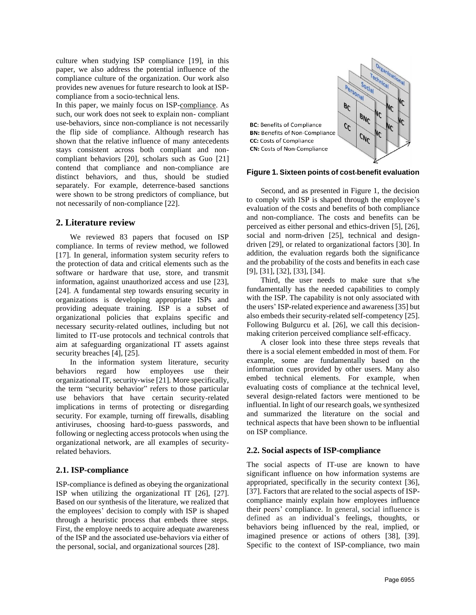culture when studying ISP compliance [19], in this paper, we also address the potential influence of the compliance culture of the organization. Our work also provides new avenues for future research to look at ISPcompliance from a socio-technical lens.

In this paper, we mainly focus on ISP-compliance. As such, our work does not seek to explain non- compliant use-behaviors, since non-compliance is not necessarily the flip side of compliance. Although research has shown that the relative influence of many antecedents stays consistent across both compliant and noncompliant behaviors [20], scholars such as Guo [21] contend that compliance and non-compliance are distinct behaviors, and thus, should be studied separately. For example, deterrence-based sanctions were shown to be strong predictors of compliance, but not necessarily of non-compliance [22].

### **2. Literature review**

We reviewed 83 papers that focused on ISP compliance. In terms of review method, we followed [17]. In general, information system security refers to the protection of data and critical elements such as the software or hardware that use, store, and transmit information, against unauthorized access and use [\[23\]](https://www.sciencedirect.com/science/article/pii/S0167404813000801#bib18), [24]. A fundamental step towards ensuring security in organizations is developing appropriate ISPs and providing adequate training. ISP is a subset of organizational policies that explains specific and necessary security-related outlines, including but not limited to IT-use protocols and technical controls that aim at safeguarding organizational IT assets against security breaches [4], [25].

In the information system literature, security behaviors regard how employees use their organizational IT, security-wise [21]. More specifically, the term "security behavior" refers to those particular use behaviors that have certain security-related implications in terms of protecting or disregarding security. For example, turning off firewalls, disabling antiviruses, choosing hard-to-guess passwords, and following or neglecting access protocols when using the organizational network, are all examples of securityrelated behaviors.

### **2.1. ISP-compliance**

ISP-compliance is defined as obeying the organizational ISP when utilizing the organizational IT [26], [27]. Based on our synthesis of the literature, we realized that the employees' decision to comply with ISP is shaped through a heuristic process that embeds three steps. First, the employe needs to acquire adequate awareness of the ISP and the associated use-behaviors via either of the personal, social, and organizational sources [28].



#### Figure 1. Sixteen points of cost-benefit evaluation

Second, and as presented in Figure 1, the decision to comply with ISP is shaped through the employee's evaluation of the costs and benefits of both compliance and non-compliance. The costs and benefits can be perceived as either personal and ethics-driven [5], [26], social and norm-driven [25], technical and designdriven [29], or related to organizational factors [30]. In addition, the evaluation regards both the significance and the probability of the costs and benefits in each case [9], [31], [32], [33], [34].

Third, the user needs to make sure that s/he fundamentally has the needed capabilities to comply with the ISP. The capability is not only associated with the users' ISP-related experience and awareness [35] but also embeds their security-related self-competency [25]. Following Bulgurcu et al. [26], we call this decisionmaking criterion perceived compliance self-efficacy.

A closer look into these three steps reveals that there is a social element embedded in most of them. For example, some are fundamentally based on the information cues provided by other users. Many also embed technical elements. For example, when evaluating costs of compliance at the technical level, several design-related factors were mentioned to be influential. In light of our research goals, we synthesized and summarized the literature on the social and technical aspects that have been shown to be influential on ISP compliance.

### **2.2. Social aspects of ISP-compliance**

The social aspects of IT-use are known to have significant influence on how information systems are appropriated, specifically in the security context [36], [37]. Factors that are related to the social aspects of ISPcompliance mainly explain how employees influence their peers' compliance. In general, social influence is defined as an individual's feelings, thoughts, or behaviors being influenced by the real, implied, or imagined presence or actions of others [38], [39]. Specific to the context of ISP-compliance, two main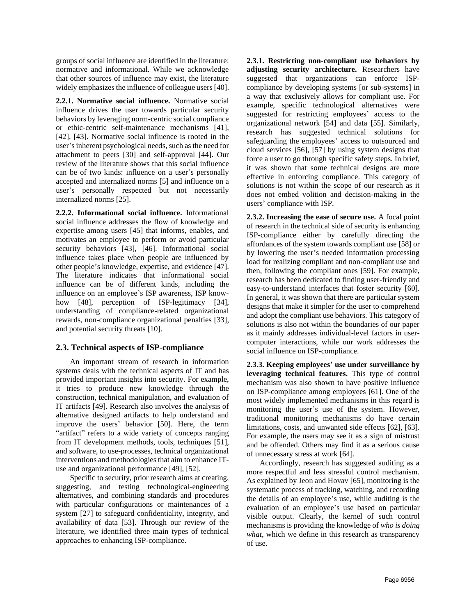groups of social influence are identified in the literature: normative and informational. While we acknowledge that other sources of influence may exist, the literature widely emphasizes the influence of colleague users [40].

**2.2.1. Normative social influence.** Normative social influence drives the user towards particular security behaviors by leveraging norm-centric social compliance or ethic-centric self-maintenance mechanisms [41], [42], [43]. Normative social influence is rooted in the user's inherent psychological needs, such as the need for attachment to peers [30] and self-approval [44]. Our review of the literature shows that this social influence can be of two kinds: influence on a user's personally accepted and internalized norms [5] and influence on a user's personally respected but not necessarily internalized norms [25].

**2.2.2. Informational social influence.** Informational social influence addresses the flow of knowledge and expertise among users [45] that informs, enables, and motivates an employee to perform or avoid particular security behaviors [43], [46]. Informational social influence takes place when people are influenced by other people's knowledge, expertise, and evidence [47]. The literature indicates that informational social influence can be of different kinds, including the influence on an employee's ISP awareness, ISP knowhow [48], perception of ISP-legitimacy [34], understanding of compliance-related organizational rewards, non-compliance organizational penalties [33], and potential security threats [10].

### **2.3. Technical aspects of ISP-compliance**

An important stream of research in information systems deals with the technical aspects of IT and has provided important insights into security. For example, it tries to produce new knowledge through the construction, technical manipulation, and evaluation of IT artifacts [49]. Research also involves the analysis of alternative designed artifacts to help understand and improve the users' behavior [50]. Here, the term "artifact" refers to a wide variety of concepts ranging from IT development methods, tools, techniques [51], and software, to use-processes, technical organizational interventions and methodologies that aim to enhance ITuse and organizational performance [49], [52].

Specific to security, prior research aims at creating, suggesting, and testing technological-engineering alternatives, and combining standards and procedures with particular configurations or maintenances of a system [27] to safeguard confidentiality, integrity, and availability of data [53]. Through our review of the literature, we identified three main types of technical approaches to enhancing ISP-compliance.

**2.3.1. Restricting non-compliant use behaviors by adjusting security architecture.** Researchers have suggested that organizations can enforce ISPcompliance by developing systems [or sub-systems] in a way that exclusively allows for compliant use. For example, specific technological alternatives were suggested for restricting employees' access to the organizational network [54] and data [55]. Similarly, research has suggested technical solutions for safeguarding the employees' access to outsourced and cloud services [56], [57] by using system designs that force a user to go through specific safety steps. In brief, it was shown that some technical designs are more effective in enforcing compliance. This category of solutions is not within the scope of our research as it does not embed volition and decision-making in the users' compliance with ISP.

**2.3.2. Increasing the ease of secure use.** A focal point of research in the technical side of security is enhancing ISP-compliance either by carefully directing the affordances of the system towards compliant use [58] or by lowering the user's needed information processing load for realizing compliant and non-compliant use and then, following the compliant ones [59]. For example, research has been dedicated to finding user-friendly and easy-to-understand interfaces that foster security [60]. In general, it was shown that there are particular system designs that make it simpler for the user to comprehend and adopt the compliant use behaviors. This category of solutions is also not within the boundaries of our paper as it mainly addresses individual-level factors in usercomputer interactions, while our work addresses the social influence on ISP-compliance.

**2.3.3. Keeping employees' use under surveillance by leveraging technical features.** This type of control mechanism was also shown to have positive influence on ISP-compliance among employees [61]. One of the most widely implemented mechanisms in this regard is monitoring the user's use of the system. However, traditional monitoring mechanisms do have certain limitations, costs, and unwanted side effects [62], [63]. For example, the users may see it as a sign of mistrust and be offended. Others may find it as a serious cause of unnecessary stress at work [64].

Accordingly, research has suggested auditing as a more respectful and less stressful control mechanism. As explained by Jeon and Hovav [65], monitoring is the systematic process of tracking, watching, and recording the details of an employee's use, while auditing is the evaluation of an employee's use based on particular visible output. Clearly, the kernel of such control mechanisms is providing the knowledge of *who is doing what*, which we define in this research as transparency of use.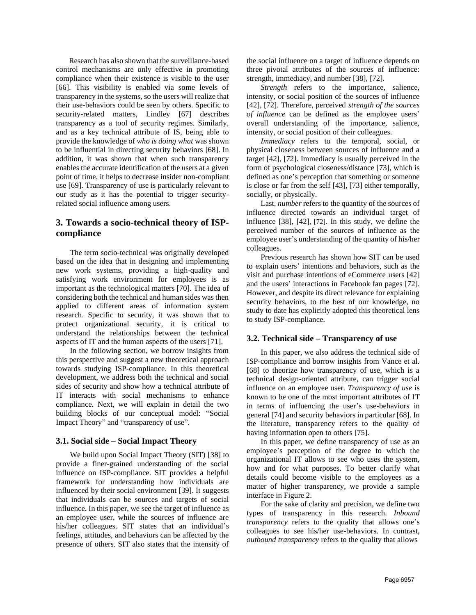Research has also shown that the surveillance-based control mechanisms are only effective in promoting compliance when their existence is visible to the user [66]. This visibility is enabled via some levels of transparency in the systems, so the users will realize that their use-behaviors could be seen by others. Specific to security-related matters, Lindley [67] describes transparency as a tool of security regimes. Similarly, and as a key technical attribute of IS, being able to provide the knowledge of *who is doing what* was shown to be influential in directing security behaviors [68]. In addition, it was shown that when such transparency enables the accurate identification of the users at a given point of time, it helps to decrease insider non-compliant use [69]. Transparency of use is particularly relevant to our study as it has the potential to trigger securityrelated social influence among users.

### **3. Towards a socio-technical theory of ISPcompliance**

The term socio-technical was originally developed based on the idea that in designing and implementing new work systems, providing a high-quality and satisfying work environment for employees is as important as the technological matters [70]. The idea of considering both the technical and human sides was then applied to different areas of information system research. Specific to security, it was shown that to protect organizational security, it is critical to understand the relationships between the technical aspects of IT and the human aspects of the users [71].

In the following section, we borrow insights from this perspective and suggest a new theoretical approach towards studying ISP-compliance. In this theoretical development, we address both the technical and social sides of security and show how a technical attribute of IT interacts with social mechanisms to enhance compliance. Next, we will explain in detail the two building blocks of our conceptual model: "Social Impact Theory" and "transparency of use".

### **3.1. Social side – Social Impact Theory**

We build upon Social Impact Theory (SIT) [38] to provide a finer-grained understanding of the social influence on ISP-compliance. SIT provides a helpful framework for understanding how individuals are influenced by their social environment [39]. It suggests that individuals can be sources and targets of social influence. In this paper, we see the target of influence as an employee user, while the sources of influence are his/her colleagues. SIT states that an individual's feelings, attitudes, and behaviors can be affected by the presence of others. SIT also states that the intensity of

the social influence on a target of influence depends on three pivotal attributes of the sources of influence: strength, immediacy, and number [38], [72].

*Strength* refers to the importance, salience, intensity, or social position of the sources of influence [42], [72]. Therefore, perceived *strength of the sources of influence* can be defined as the employee users' overall understanding of the importance, salience, intensity, or social position of their colleagues.

*Immediacy* refers to the temporal, social, or physical closeness between sources of influence and a target [42], [72]. Immediacy is usually perceived in the form of psychological closeness/distance [73], which is defined as one's perception that something or someone is close or far from the self [43], [73] either temporally, socially, or physically.

Last, *number* refers to the quantity of the sources of influence directed towards an individual target of influence [38], [42], [72]. In this study, we define the perceived number of the sources of influence as the employee user's understanding of the quantity of his/her colleagues.

Previous research has shown how SIT can be used to explain users' intentions and behaviors, such as the visit and purchase intentions of eCommerce users [42] and the users' interactions in Facebook fan pages [72]. However, and despite its direct relevance for explaining security behaviors, to the best of our knowledge, no study to date has explicitly adopted this theoretical lens to study ISP-compliance.

#### **3.2. Technical side – Transparency of use**

In this paper, we also address the technical side of ISP-compliance and borrow insights from Vance et al. [68] to theorize how transparency of use, which is a technical design-oriented attribute, can trigger social influence on an employee user. *Transparency of use* is known to be one of the most important attributes of IT in terms of influencing the user's use-behaviors in general [74] and security behaviors in particular [68]. In the literature, transparency refers to the quality of having information open to others [75].

In this paper, we define transparency of use as an employee's perception of the degree to which the organizational IT allows to see who uses the system, how and for what purposes. To better clarify what details could become visible to the employees as a matter of higher transparency, we provide a sample interface in Figure 2.

For the sake of clarity and precision, we define two types of transparency in this research. *Inbound transparency* refers to the quality that allows one's colleagues to see his/her use-behaviors. In contrast, *outbound transparency* refers to the quality that allows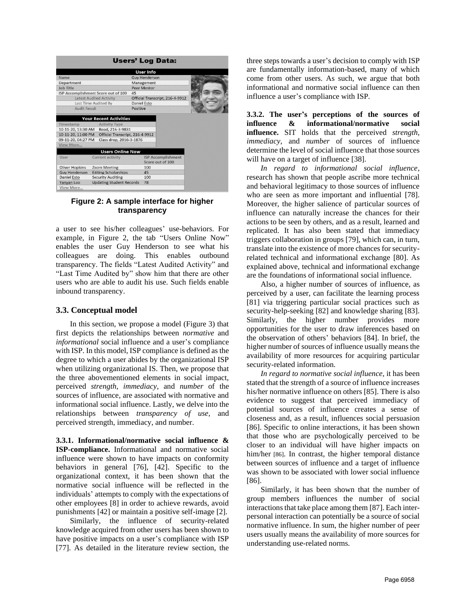|                                                                                          |                                                                                                        | <b>Users' Log Data:</b>                       |  |
|------------------------------------------------------------------------------------------|--------------------------------------------------------------------------------------------------------|-----------------------------------------------|--|
|                                                                                          |                                                                                                        | <b>User Info</b>                              |  |
| <b>Name</b>                                                                              |                                                                                                        | <b>Guy Henderson</b>                          |  |
| <b>Department</b>                                                                        |                                                                                                        | Management                                    |  |
| <b>Job Title</b>                                                                         |                                                                                                        | <b>Peer Mentor</b>                            |  |
| ISP Accomplishment Score out of 100                                                      |                                                                                                        | 45                                            |  |
| <b>Latest Audited Activity</b>                                                           |                                                                                                        | Official Transcript, 216-4-9912               |  |
| Last Time Audited By                                                                     |                                                                                                        | Daniel Esto                                   |  |
| <b>Audit Result</b>                                                                      |                                                                                                        | Positive                                      |  |
| Timestamp<br>10-11-20, 13:30 AM<br>10-11-20, 11:00 PM<br>09-11-20, 04:27 PM<br>View More | <b>Activity Type</b><br>Read, 216-3-9831<br>Official Transcript, 216-4-9912<br>Class drop, 2016-3-1876 |                                               |  |
|                                                                                          | <b>Users Online Now</b>                                                                                |                                               |  |
| User                                                                                     | <b>Current activity</b>                                                                                | <b>ISP Accomplishment</b><br>Score out of 100 |  |
| <b>Oliver Hopkins</b>                                                                    | <b>Zoom Meeting</b>                                                                                    | 100                                           |  |
| <b>Guy Henderson</b>                                                                     | <b>Editing Scholarships</b>                                                                            | 45                                            |  |
| <b>Daniel Esto</b>                                                                       | <b>Security Auditing</b>                                                                               | 100                                           |  |
| Yanyan Loo                                                                               | <b>Updating Student Records</b>                                                                        | 78                                            |  |
| View More                                                                                |                                                                                                        |                                               |  |

Figure 2: A sample interface for higher transparency

a user to see his/her colleagues' use-behaviors. For example, in Figure 2, the tab "Users Online Now" enables the user Guy Henderson to see what his colleagues are doing. This enables outbound transparency. The fields "Latest Audited Activity" and "Last Time Audited by" show him that there are other users who are able to audit his use. Such fields enable inbound transparency.

#### **3.3. Conceptual model**

In this section, we propose a model (Figure 3) that first depicts the relationships between *normative* and *informational* social influence and a user's compliance with ISP. In this model, ISP compliance is defined as the degree to which a user abides by the organizational ISP when utilizing organizational IS. Then, we propose that the three abovementioned elements in social impact, perceived *strength*, *immediacy*, and *number* of the sources of influence, are associated with normative and informational social influence. Lastly, we delve into the relationships between *transparency of use,* and perceived strength, immediacy, and number.

**3.3.1. Informational/normative social influence & ISP-compliance.** Informational and normative social influence were shown to have impacts on conformity behaviors in general [76], [42]. Specific to the organizational context, it has been shown that the normative social influence will be reflected in the individuals' attempts to comply with the expectations of other employees [8] in order to achieve rewards, avoid punishments [42] or maintain a positive self-image [2].

Similarly, the influence of security-related knowledge acquired from other users has been shown to have positive impacts on a user's compliance with ISP [77]. As detailed in the literature review section, the

three steps towards a user's decision to comply with ISP are fundamentally information-based, many of which come from other users. As such, we argue that both informational and normative social influence can then influence a user's compliance with ISP.

**3.3.2. The user's perceptions of the sources of influence & informational/normative social influence.** SIT holds that the perceived *strength*, *immediacy*, and *number* of sources of influence determine the level of social influence that those sources will have on a target of influence [38].

*In regard to informational social influence*, research has shown that people ascribe more technical and behavioral legitimacy to those sources of influence who are seen as more important and influential [78]. Moreover, the higher salience of particular sources of influence can naturally increase the chances for their actions to be seen by others, and as a result, learned and replicated. It has also been stated that immediacy triggers collaboration in groups [79], which can, in turn, translate into the existence of more chances for securityrelated technical and informational exchange [80]. As explained above, technical and informational exchange are the foundations of informational social influence.

Also, a higher number of sources of influence, as perceived by a user, can facilitate the learning process [81] via triggering particular social practices such as security-help-seeking [82] and knowledge sharing [83]. Similarly, the higher number provides more opportunities for the user to draw inferences based on the observation of others' behaviors [84]. In brief, the higher number of sources of influence usually means the availability of more resources for acquiring particular security-related information.

*In regard to normative social influence*, it has been stated that the strength of a source of influence increases his/her normative influence on others [85]. There is also evidence to suggest that perceived immediacy of potential sources of influence creates a sense of closeness and, as a result, influences social persuasion [86]. Specific to online interactions, it has been shown that those who are psychologically perceived to be closer to an individual will have higher impacts on him/her [86]. In contrast, the higher temporal distance between sources of influence and a target of influence was shown to be associated with lower social influence [86].

Similarly, it has been shown that the number of group members influences the number of social interactions that take place among them [87]. Each interpersonal interaction can potentially be a source of social normative influence. In sum, the higher number of peer users usually means the availability of more sources for understanding use-related norms.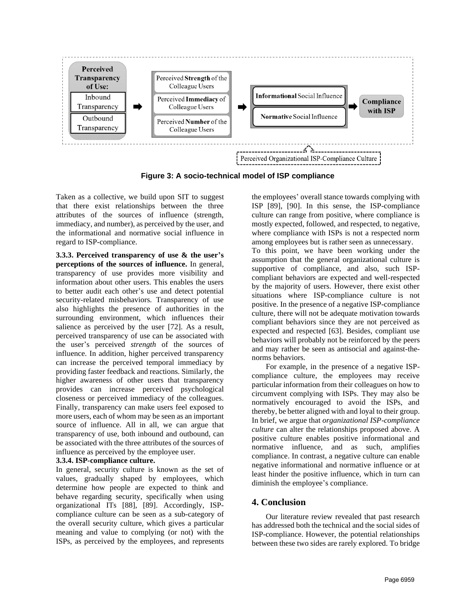

Figure 3: A socio-technical model of ISP compliance

Taken as a collective, we build upon SIT to suggest that there exist relationships between the three attributes of the sources of influence (strength, immediacy, and number), as perceived by the user, and the informational and normative social influence in regard to ISP-compliance.

**3.3.3. Perceived transparency of use & the user's perceptions of the sources of influence.** In general, transparency of use provides more visibility and information about other users. This enables the users to better audit each other's use and detect potential security-related misbehaviors. Transparency of use also highlights the presence of authorities in the surrounding environment, which influences their salience as perceived by the user [72]. As a result, perceived transparency of use can be associated with the user's perceived *strength* of the sources of influence. In addition, higher perceived transparency can increase the perceived temporal immediacy by providing faster feedback and reactions. Similarly, the higher awareness of other users that transparency provides can increase perceived psychological closeness or perceived immediacy of the colleagues. Finally, transparency can make users feel exposed to more users, each of whom may be seen as an important source of influence. All in all, we can argue that transparency of use, both inbound and outbound, can be associated with the three attributes of the sources of influence as perceived by the employee user.

### **3.3.4. ISP-compliance culture.**

In general, security culture is known as the set of values, gradually shaped by employees, which determine how people are expected to think and behave regarding security, specifically when using organizational ITs [88], [89]. Accordingly, ISPcompliance culture can be seen as a sub-category of the overall security culture, which gives a particular meaning and value to complying (or not) with the ISPs, as perceived by the employees, and represents the employees' overall stance towards complying with ISP [89], [90]. In this sense, the ISP-compliance culture can range from positive, where compliance is mostly expected, followed, and respected, to negative, where compliance with ISPs is not a respected norm among employees but is rather seen as unnecessary.

To this point, we have been working under the assumption that the general organizational culture is supportive of compliance, and also, such ISPcompliant behaviors are expected and well-respected by the majority of users. However, there exist other situations where ISP-compliance culture is not positive. In the presence of a negative ISP-compliance culture, there will not be adequate motivation towards compliant behaviors since they are not perceived as expected and respected [63]. Besides, compliant use behaviors will probably not be reinforced by the peers and may rather be seen as antisocial and against-thenorms behaviors.

For example, in the presence of a negative ISPcompliance culture, the employees may receive particular information from their colleagues on how to circumvent complying with ISPs. They may also be normatively encouraged to avoid the ISPs, and thereby, be better aligned with and loyal to their group. In brief, we argue that *organizational ISP-compliance culture* can alter the relationships proposed above. A positive culture enables positive informational and normative influence, and as such, amplifies compliance. In contrast, a negative culture can enable negative informational and normative influence or at least hinder the positive influence, which in turn can diminish the employee's compliance.

## **4. Conclusion**

Our literature review revealed that past research has addressed both the technical and the social sides of ISP-compliance. However, the potential relationships between these two sides are rarely explored. To bridge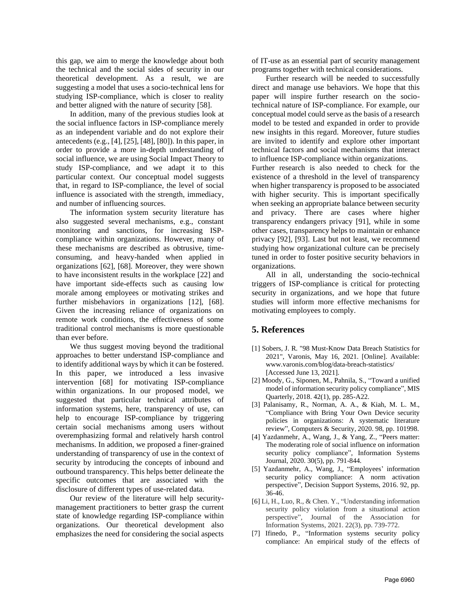this gap, we aim to merge the knowledge about both the technical and the social sides of security in our theoretical development. As a result, we are suggesting a model that uses a socio-technical lens for studying ISP-compliance, which is closer to reality and better aligned with the nature of security [58].

In addition, many of the previous studies look at the social influence factors in ISP-compliance merely as an independent variable and do not explore their antecedents (e.g., [4], [25], [48], [80]). In this paper, in order to provide a more in-depth understanding of social influence, we are using Social Impact Theory to study ISP-compliance, and we adapt it to this particular context. Our conceptual model suggests that, in regard to ISP-compliance, the level of social influence is associated with the strength, immediacy, and number of influencing sources.

The information system security literature has also suggested several mechanisms, e.g., constant monitoring and sanctions, for increasing ISPcompliance within organizations. However, many of these mechanisms are described as obtrusive, timeconsuming, and heavy-handed when applied in organizations [62], [68]. Moreover, they were shown to have inconsistent results in the workplace [22] and have important side-effects such as causing low morale among employees or motivating strikes and further misbehaviors in organizations [12], [68]. Given the increasing reliance of organizations on remote work conditions, the effectiveness of some traditional control mechanisms is more questionable than ever before.

We thus suggest moving beyond the traditional approaches to better understand ISP-compliance and to identify additional ways by which it can be fostered. In this paper, we introduced a less invasive intervention [68] for motivating ISP-compliance within organizations. In our proposed model, we suggested that particular technical attributes of information systems, here, transparency of use, can help to encourage ISP-compliance by triggering certain social mechanisms among users without overemphasizing formal and relatively harsh control mechanisms. In addition, we proposed a finer-grained understanding of transparency of use in the context of security by introducing the concepts of inbound and outbound transparency. This helps better delineate the specific outcomes that are associated with the disclosure of different types of use-related data.

Our review of the literature will help securitymanagement practitioners to better grasp the current state of knowledge regarding ISP-compliance within organizations. Our theoretical development also emphasizes the need for considering the social aspects of IT-use as an essential part of security management programs together with technical considerations.

Further research will be needed to successfully direct and manage use behaviors. We hope that this paper will inspire further research on the sociotechnical nature of ISP-compliance. For example, our conceptual model could serve as the basis of a research model to be tested and expanded in order to provide new insights in this regard. Moreover, future studies are invited to identify and explore other important technical factors and social mechanisms that interact to influence ISP-compliance within organizations.

Further research is also needed to check for the existence of a threshold in the level of transparency when higher transparency is proposed to be associated with higher security. This is important specifically when seeking an appropriate balance between security and privacy. There are cases where higher transparency endangers privacy [91], while in some other cases, transparency helps to maintain or enhance privacy [92], [93]. Last but not least, we recommend studying how organizational culture can be precisely tuned in order to foster positive security behaviors in organizations.

All in all, understanding the socio-technical triggers of ISP-compliance is critical for protecting security in organizations, and we hope that future studies will inform more effective mechanisms for motivating employees to comply.

### **5. References**

- [1] Sobers, J. R. "98 Must-Know Data Breach Statistics for 2021", Varonis, May 16, 2021. [Online]. Available: www.varonis.com/blog/data-breach-statistics/ [Accessed June 13, 2021].
- [2] Moody, G., Siponen, M., Pahnila, S., "Toward a unified model of information security policy compliance", MIS Quarterly, 2018. 42(1), pp. 285-A22.
- [3] Palanisamy, R., Norman, A. A., & Kiah, M. L. M., "Compliance with Bring Your Own Device security policies in organizations: A systematic literature review", Computers & Security, 2020. 98, pp. 101998.
- [4] Yazdanmehr, A., Wang, J., & Yang, Z., "Peers matter: The moderating role of social influence on information security policy compliance", Information Systems Journal, 2020. 30(5), pp. 791-844.
- [5] Yazdanmehr, A., Wang, J., "Employees' information security policy compliance: A norm activation perspective", Decision Support Systems, 2016. 92, pp. 36-46.
- [6] Li, H., Luo, R., & Chen. Y., "Understanding information security policy violation from a situational action perspective", Journal of the Association for Information Systems, 2021. 22(3), pp. 739-772.
- [7] Ifinedo, P., "Information systems security policy compliance: An empirical study of the effects of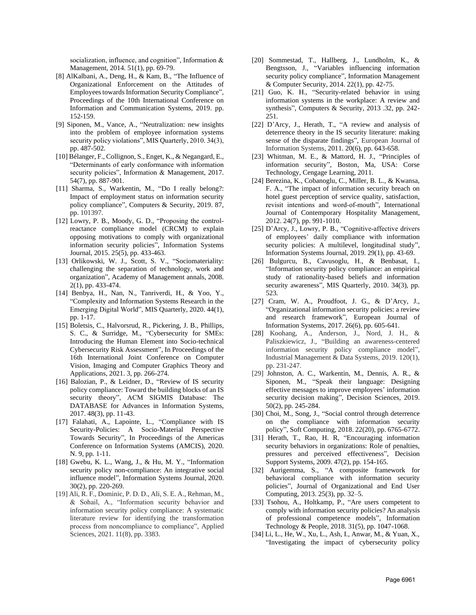socialization, influence, and cognition", Information & Management, 2014. 51(1), pp. 69-79.

- [8] AlKalbani, A., Deng, H., & Kam, B., "The Influence of Organizational Enforcement on the Attitudes of Employees towards Information Security Compliance", Proceedings of the 10th International Conference on Information and Communication Systems, 2019. pp. 152-159.
- [9] Siponen, M., Vance, A., "Neutralization: new insights into the problem of employee information systems security policy violations", MIS Quarterly, 2010. 34(3), pp. 487-502.
- [10] Bélanger, F., Collignon, S., Enget, K., & Negangard, E., "Determinants of early conformance with information security policies", Information & Management, 2017. 54(7), pp. 887-901.
- [11] Sharma, S., Warkentin, M., "Do I really belong?: Impact of employment status on information security policy compliance", Computers & Security, 2019. 87, pp. 101397.
- [12] Lowry, P. B., Moody, G. D., "Proposing the controlreactance compliance model (CRCM) to explain opposing motivations to comply with organizational information security policies", Information Systems Journal, 2015. 25(5), pp. 433-463.
- [13] Orlikowski, W. J., Scott, S. V., "Sociomateriality: challenging the separation of technology, work and organization", Academy of Management annals, 2008. 2(1), pp. 433-474.
- [14] Benbya, H., Nan, N., Tanriverdi, H., & Yoo, Y., "Complexity and Information Systems Research in the Emerging Digital World", MIS Quarterly, 2020. 44(1), pp. 1-17.
- [15] Boletsis, C., Halvorsrud, R., Pickering, J. B., Phillips, S. C., & Surridge, M., "Cybersecurity for SMEs: Introducing the Human Element into Socio-technical Cybersecurity Risk Assessment", In Proceedings of the 16th International Joint Conference on Computer Vision, Imaging and Computer Graphics Theory and Applications, 2021. 3, pp. 266-274.
- [16] Balozian, P., & Leidner, D., "Review of IS security policy compliance: Toward the building blocks of an IS security theory", ACM SIGMIS Database: The DATABASE for Advances in Information Systems, 2017. 48(3), pp. 11-43.
- [17] Falahati, A., Lapointe, L., "Compliance with IS Security-Policies: A Socio-Material Perspective Towards Security", In Proceedings of the Americas Conference on Information Systems (AMCIS), 2020. N. 9, pp. 1-11.
- [18] Gwebu, K. L., Wang, J., & Hu, M. Y., "Information security policy non-compliance: An integrative social influence model", Information Systems Journal, 2020. 30(2), pp. 220-269.
- [19] Ali, R. F., Dominic, P. D. D., Ali, S. E. A., Rehman, M., & Sohail, A., "Information security behavior and information security policy compliance: A systematic literature review for identifying the transformation process from noncompliance to compliance", Applied Sciences, 2021. 11(8), pp. 3383.
- [20] Sommestad, T., Hallberg, J., Lundholm, K., & Bengtsson, J., "Variables influencing information security policy compliance", Information Management & Computer Security, 2014. 22(1), pp. 42-75.
- [21] Guo, K. H., "Security-related behavior in using information systems in the workplace: A review and synthesis", Computers & Security, 2013 .32, pp. 242- 251.
- [22] D'Arcy, J., Herath, T., "A review and analysis of deterrence theory in the IS security literature: making sense of the disparate findings", European Journal of Information Systems, 2011. 20(6), pp. 643-658.
- [23] Whitman, M. E., & Mattord, H. J., "Principles of information security", Boston, Ma, USA: Corse Technology, Cengage Learning, 2011.
- [24] Berezina, K., Cobanoglu, C., Miller, B. L., & Kwansa, F. A., "The impact of information security breach on hotel guest perception of service quality, satisfaction, revisit intentions and word‐of‐mouth", International Journal of Contemporary Hospitality Management, 2012. 24(7), pp. 991-1010.
- [25] D'Arcy, J., Lowry, P. B., "Cognitive-affective drivers of employees' daily compliance with information security policies: A multilevel, longitudinal study", Information Systems Journal, 2019. 29(1), pp. 43-69.
- [26] Bulgurcu, B., Cavusoglu, H., & Benbasat, I., "Information security policy compliance: an empirical study of rationality-based beliefs and information security awareness", MIS Quarterly, 2010. 34(3), pp. 523.
- [27] Cram, W. A., Proudfoot, J. G., & D'Arcy, J., "Organizational information security policies: a review and research framework", European Journal of Information Systems, 2017. 26(6), pp. 605-641.
- [28] Koohang, A., Anderson, J., Nord, J. H., & Paliszkiewicz, J., "Building an awareness-centered information security policy compliance model", Industrial Management & Data Systems, 2019. 120(1), pp. 231-247.
- [29] Johnston, A. C., Warkentin, M., Dennis, A. R., & Siponen, M., "Speak their language: Designing effective messages to improve employees' information security decision making", Decision Sciences, 2019. 50(2), pp. 245-284.
- [30] Choi, M., Song, J., "Social control through deterrence on the compliance with information security policy", Soft Computing, 2018. 22(20), pp. 6765-6772.
- [31] Herath, T., Rao, H. R, "Encouraging information security behaviors in organizations: Role of penalties, pressures and perceived effectiveness", Decision Support Systems, 2009. 47(2), pp. 154-165.
- [32] Aurigemma, S., "A composite framework for behavioral compliance with information security policies", Journal of Organizational and End User Computing, 2013. 25(3), pp. 32–5.
- [33] Tsohou, A., Holtkamp, P., "Are users competent to comply with information security policies? An analysis of professional competence models", Information Technology & People, 2018. 31(5), pp. 1047-1068.
- [34] Li, L., He, W., Xu, L., Ash, I., Anwar, M., & Yuan, X., "Investigating the impact of cybersecurity policy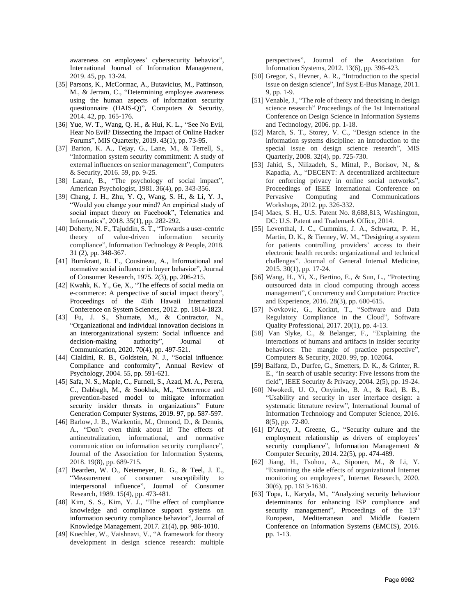awareness on employees' cybersecurity behavior", International Journal of Information Management, 2019. 45, pp. 13-24.

- [35] Parsons, K., McCormac, A., Butavicius, M., Pattinson, M., & Jerram, C., "Determining employee awareness using the human aspects of information security questionnaire (HAIS-Q)", Computers & Security, 2014. 42, pp. 165-176.
- [36] Yue, W. T., Wang, Q. H., & Hui, K. L., "See No Evil, Hear No Evil? Dissecting the Impact of Online Hacker Forums", MIS Quarterly, 2019. 43(1), pp. 73-95.
- [37] Barton, K. A., Tejay, G., Lane, M., & Terrell, S., "Information system security commitment: A study of external influences on senior management", Computers & Security, 2016. 59, pp. 9-25.
- [38] Latané, B., "The psychology of social impact", American Psychologist, 1981. 36(4), pp. 343-356.
- [39] Chang, J. H., Zhu, Y. Q., Wang, S. H., & Li, Y. J., "Would you change your mind? An empirical study of social impact theory on Facebook", Telematics and Informatics", 2018. 35(1), pp. 282-292.
- [40] Doherty, N. F., Tajuddin, S. T., "Towards a user-centric theory of value-driven information security compliance", Information Technology & People, 2018. 31 (2), pp. 348-367.
- [41] Burnkrant, R. E., Cousineau, A., Informational and normative social influence in buyer behavior", Journal of Consumer Research, 1975. 2(3), pp. 206-215.
- [42] Kwahk, K. Y., Ge, X., "The effects of social media on e-commerce: A perspective of social impact theory", Proceedings of the 45th Hawaii International Conference on System Sciences, 2012. pp. 1814-1823.
- [43] Fu, J. S., Shumate, M., & Contractor, N., "Organizational and individual innovation decisions in an interorganizational system: Social influence and decision-making authority", Journal of Communication, 2020. 70(4), pp. 497-521.
- [44] Cialdini, R. B., Goldstein, N. J., "Social influence: Compliance and conformity", Annual Review of Psychology, 2004. 55, pp. 591-621.
- [45] Safa, N. S., Maple, C., Furnell, S., Azad, M. A., Perera, C., Dabbagh, M., & Sookhak, M., "Deterrence and prevention-based model to mitigate information security insider threats in organizations" Future Generation Computer Systems, 2019. 97, pp. 587-597.
- [46] Barlow, J. B., Warkentin, M., Ormond, D., & Dennis, A., "Don't even think about it! The effects of antineutralization, informational, and normative communication on information security compliance", Journal of the Association for Information Systems, 2018. 19(8), pp. 689-715.
- [47] Bearden, W. O., Netemeyer, R. G., & Teel, J. E., "Measurement of consumer susceptibility to interpersonal influence", Journal of Consumer Research, 1989. 15(4), pp. 473-481.
- [48] Kim, S. S., Kim, Y. J., "The effect of compliance knowledge and compliance support systems on information security compliance behavior", Journal of Knowledge Management, 2017. 21(4), pp. 986-1010.
- [49] Kuechler, W., Vaishnavi, V., "A framework for theory development in design science research: multiple

perspectives", Journal of the Association for Information Systems, 2012. 13(6), pp. 396-423.

- [50] Gregor, S., Hevner, A. R., "Introduction to the special issue on design science", Inf Syst E-Bus Manage, 2011. 9, pp. 1-9.
- [51] Venable, J., "The role of theory and theorising in design science research" Proceedings of the 1st International Conference on Design Science in Information Systems and Technology, 2006. pp. 1-18.
- [52] March, S. T., Storey, V. C., "Design science in the information systems discipline: an introduction to the special issue on design science research", MIS Quarterly, 2008. 32(4), pp. 725-730.
- [53] Jahid, S., Nilizadeh, S., Mittal, P., Borisov, N., & Kapadia, A., "DECENT: A decentralized architecture for enforcing privacy in online social networks", Proceedings of IEEE International Conference on Pervasive Computing and Communications Workshops, 2012. pp. 326-332.
- [54] Maes, S. H., U.S. Patent No. 8,688,813, Washington, DC: U.S. Patent and Trademark Office, 2014.
- [55] Leventhal, J. C., Cummins, J. A., Schwartz, P. H., Martin, D. K., & Tierney, W. M., "Designing a system for patients controlling providers' access to their electronic health records: organizational and technical challenges". Journal of General Internal Medicine, 2015. 30(1), pp. 17-24.
- [56] Wang, H., Yi, X., Bertino, E., & Sun, L., "Protecting outsourced data in cloud computing through access management", Concurrency and Computation: Practice and Experience, 2016. 28(3), pp. 600-615.
- [57] Novkovic, G., Korkut, T., "Software and Data Regulatory Compliance in the Cloud", Software Quality Professional, 2017. 20(1), pp. 4-13.
- [58] Van Slyke, C., & Belanger, F., "Explaining the interactions of humans and artifacts in insider security behaviors: The mangle of practice perspective", Computers & Security, 2020. 99, pp. 102064.
- [59] Balfanz, D., Durfee, G., Smetters, D. K., & Grinter, R. E., "In search of usable security: Five lessons from the field", IEEE Security & Privacy, 2004. 2(5), pp. 19-24.
- [60] Nwokedi, U. O., Onyimbo, B. A., & Rad, B. B., "Usability and security in user interface design: a systematic literature review", International Journal of Information Technology and Computer Science, 2016. 8(5), pp. 72-80.
- [61] D'Arcy, J., Greene, G., "Security culture and the employment relationship as drivers of employees' security compliance", Information Management & Computer Security, 2014. 22(5), pp. 474-489.
- [62] Jiang, H., Tsohou, A., Siponen, M., & Li, Y. "Examining the side effects of organizational Internet monitoring on employees", Internet Research, 2020. 30(6), pp. 1613-1630.
- [63] Topa, I., Karyda, M., "Analyzing security behaviour determinants for enhancing ISP compliance and security management", Proceedings of the  $13<sup>th</sup>$ European, Mediterranean and Middle Eastern Conference on Information Systems (EMCIS), 2016. pp. 1-13.